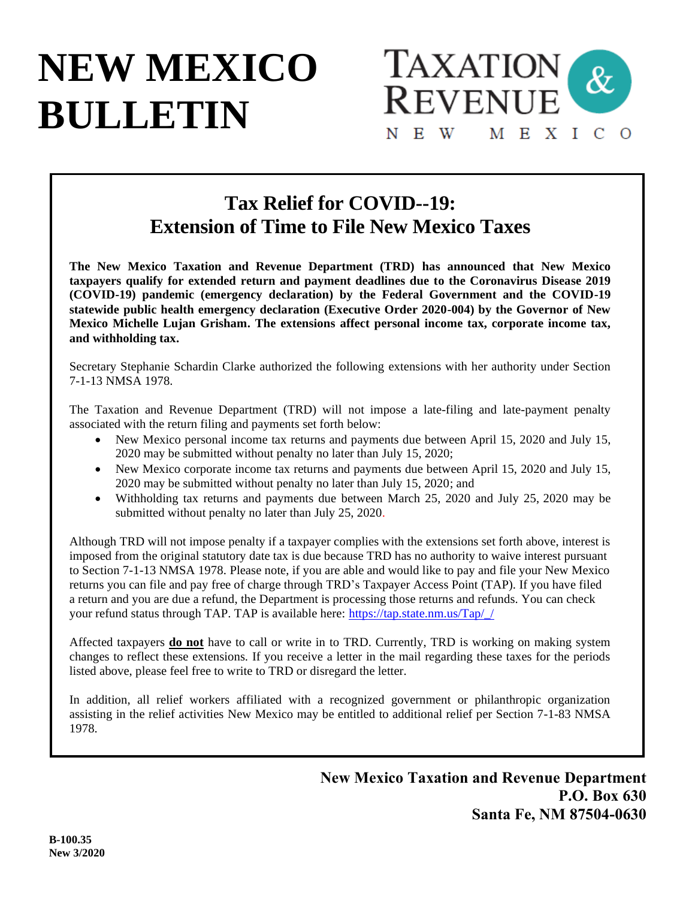# **NEW MEXICO BULLETIN**



# **Tax Relief for COVID--19: Extension of Time to File New Mexico Taxes**

**The New Mexico Taxation and Revenue Department (TRD) has announced that New Mexico taxpayers qualify for extended return and payment deadlines due to the Coronavirus Disease 2019 (COVID-19) pandemic (emergency declaration) by the Federal Government and the COVID-19 statewide public health emergency declaration (Executive Order 2020-004) by the Governor of New Mexico Michelle Lujan Grisham. The extensions affect personal income tax, corporate income tax, and withholding tax.**

Secretary Stephanie Schardin Clarke authorized the following extensions with her authority under Section 7-1-13 NMSA 1978.

The Taxation and Revenue Department (TRD) will not impose a late-filing and late-payment penalty associated with the return filing and payments set forth below:

- New Mexico personal income tax returns and payments due between April 15, 2020 and July 15, 2020 may be submitted without penalty no later than July 15, 2020;
- New Mexico corporate income tax returns and payments due between April 15, 2020 and July 15, 2020 may be submitted without penalty no later than July 15, 2020; and
- Withholding tax returns and payments due between March 25, 2020 and July 25, 2020 may be submitted without penalty no later than July 25, 2020.

Although TRD will not impose penalty if a taxpayer complies with the extensions set forth above, interest is imposed from the original statutory date tax is due because TRD has no authority to waive interest pursuant to Section 7-1-13 NMSA 1978. Please note, if you are able and would like to pay and file your New Mexico returns you can file and pay free of charge through TRD's Taxpayer Access Point (TAP). If you have filed a return and you are due a refund, the Department is processing those returns and refunds. You can check your refund status through TAP. TAP is available here: [https://tap.state.nm.us/Tap/\\_/](https://tap.state.nm.us/Tap/_/)

Affected taxpayers **do not** have to call or write in to TRD. Currently, TRD is working on making system changes to reflect these extensions. If you receive a letter in the mail regarding these taxes for the periods listed above, please feel free to write to TRD or disregard the letter.

In addition, all relief workers affiliated with a recognized government or philanthropic organization assisting in the relief activities New Mexico may be entitled to additional relief per Section 7-1-83 NMSA 1978.

> **New Mexico Taxation and Revenue Department P.O. Box 630 Santa Fe, NM 87504-0630**